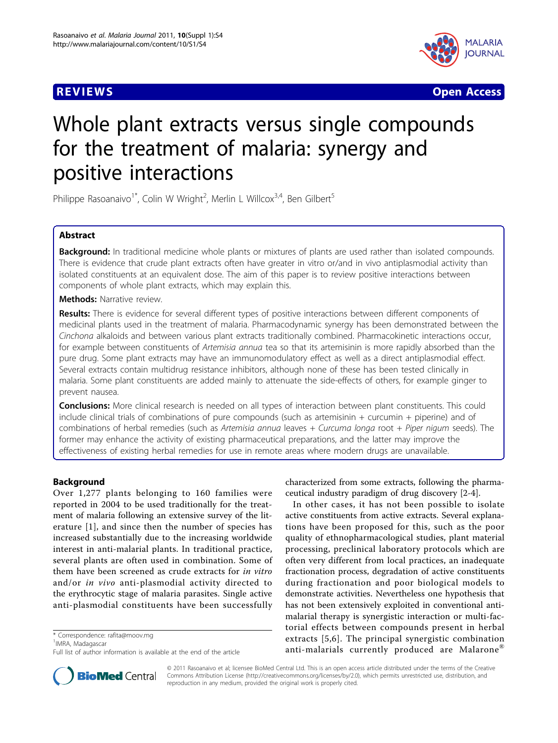



**REVIEWS CONSULTANT CONSULTANT CONSULTANT CONSULTANT CONSULTANT CONSULTANT CONSULTANT CONSULTANT CONSULTANT CONSULTANT CONSULTANT CONSULTANT CONSULTANT CONSULTANT CONSULTANT CONSULTANT CONSULTANT CONSULTANT CONSULTANT CO** 

# Whole plant extracts versus single compounds for the treatment of malaria: synergy and positive interactions

Philippe Rasoanaivo<sup>1\*</sup>, Colin W Wright<sup>2</sup>, Merlin L Willcox<sup>3,4</sup>, Ben Gilbert<sup>5</sup>

# Abstract

**Background:** In traditional medicine whole plants or mixtures of plants are used rather than isolated compounds. There is evidence that crude plant extracts often have greater in vitro or/and in vivo antiplasmodial activity than isolated constituents at an equivalent dose. The aim of this paper is to review positive interactions between components of whole plant extracts, which may explain this.

Methods: Narrative review.

Results: There is evidence for several different types of positive interactions between different components of medicinal plants used in the treatment of malaria. Pharmacodynamic synergy has been demonstrated between the Cinchona alkaloids and between various plant extracts traditionally combined. Pharmacokinetic interactions occur, for example between constituents of Artemisia annua tea so that its artemisinin is more rapidly absorbed than the pure drug. Some plant extracts may have an immunomodulatory effect as well as a direct antiplasmodial effect. Several extracts contain multidrug resistance inhibitors, although none of these has been tested clinically in malaria. Some plant constituents are added mainly to attenuate the side-effects of others, for example ginger to prevent nausea.

**Conclusions:** More clinical research is needed on all types of interaction between plant constituents. This could include clinical trials of combinations of pure compounds (such as artemisinin + curcumin + piperine) and of combinations of herbal remedies (such as Artemisia annua leaves  $+$  Curcuma longa root  $+$  Piper nigum seeds). The former may enhance the activity of existing pharmaceutical preparations, and the latter may improve the effectiveness of existing herbal remedies for use in remote areas where modern drugs are unavailable.

# Background

Over 1,277 plants belonging to 160 families were reported in 2004 to be used traditionally for the treatment of malaria following an extensive survey of the literature [\[1\]](#page-8-0), and since then the number of species has increased substantially due to the increasing worldwide interest in anti-malarial plants. In traditional practice, several plants are often used in combination. Some of them have been screened as crude extracts for in vitro and/or in vivo anti-plasmodial activity directed to the erythrocytic stage of malaria parasites. Single active anti-plasmodial constituents have been successfully

\* Correspondence: [rafita@moov.mg](mailto:rafita@moov.mg)

<sup>1</sup>IMRA, Madagascar

characterized from some extracts, following the pharmaceutical industry paradigm of drug discovery [\[2](#page-8-0)-[4\]](#page-8-0).

In other cases, it has not been possible to isolate active constituents from active extracts. Several explanations have been proposed for this, such as the poor quality of ethnopharmacological studies, plant material processing, preclinical laboratory protocols which are often very different from local practices, an inadequate fractionation process, degradation of active constituents during fractionation and poor biological models to demonstrate activities. Nevertheless one hypothesis that has not been extensively exploited in conventional antimalarial therapy is synergistic interaction or multi-factorial effects between compounds present in herbal extracts [[5,6\]](#page-8-0). The principal synergistic combination anti-malarials currently produced are Malarone®



© 2011 Rasoanaivo et al; licensee BioMed Central Ltd. This is an open access article distributed under the terms of the Creative Commons Attribution License [\(http://creativecommons.org/licenses/by/2.0](http://creativecommons.org/licenses/by/2.0)), which permits unrestricted use, distribution, and reproduction in any medium, provided the original work is properly cited.

Full list of author information is available at the end of the article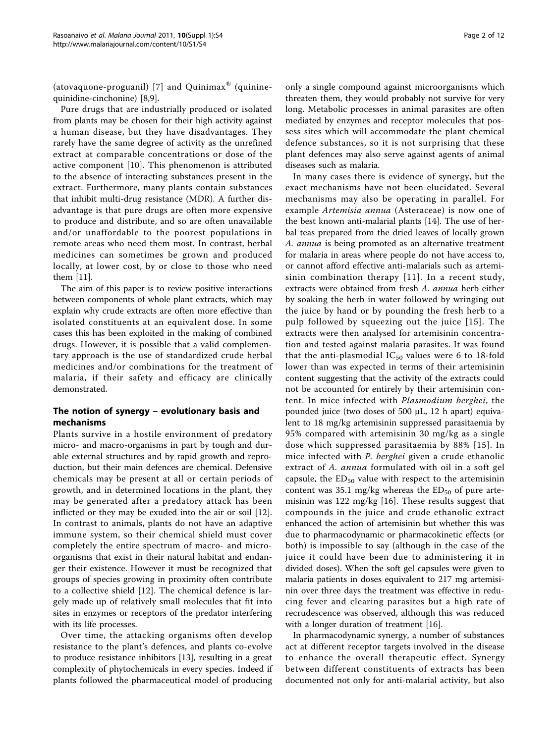(atovaquone-proguanil) [[7](#page-8-0)] and Quinimax<sup>®</sup> (quininequinidine-cinchonine) [[8,9\]](#page-8-0).

Pure drugs that are industrially produced or isolated from plants may be chosen for their high activity against a human disease, but they have disadvantages. They rarely have the same degree of activity as the unrefined extract at comparable concentrations or dose of the active component [[10\]](#page-8-0). This phenomenon is attributed to the absence of interacting substances present in the extract. Furthermore, many plants contain substances that inhibit multi-drug resistance (MDR). A further disadvantage is that pure drugs are often more expensive to produce and distribute, and so are often unavailable and/or unaffordable to the poorest populations in remote areas who need them most. In contrast, herbal medicines can sometimes be grown and produced locally, at lower cost, by or close to those who need them [\[11\]](#page-8-0).

The aim of this paper is to review positive interactions between components of whole plant extracts, which may explain why crude extracts are often more effective than isolated constituents at an equivalent dose. In some cases this has been exploited in the making of combined drugs. However, it is possible that a valid complementary approach is the use of standardized crude herbal medicines and/or combinations for the treatment of malaria, if their safety and efficacy are clinically demonstrated.

# The notion of synergy – evolutionary basis and mechanisms

Plants survive in a hostile environment of predatory micro- and macro-organisms in part by tough and durable external structures and by rapid growth and reproduction, but their main defences are chemical. Defensive chemicals may be present at all or certain periods of growth, and in determined locations in the plant, they may be generated after a predatory attack has been inflicted or they may be exuded into the air or soil [\[12](#page-8-0)]. In contrast to animals, plants do not have an adaptive immune system, so their chemical shield must cover completely the entire spectrum of macro- and microorganisms that exist in their natural habitat and endanger their existence. However it must be recognized that groups of species growing in proximity often contribute to a collective shield [[12\]](#page-8-0). The chemical defence is largely made up of relatively small molecules that fit into sites in enzymes or receptors of the predator interfering with its life processes.

Over time, the attacking organisms often develop resistance to the plant's defences, and plants co-evolve to produce resistance inhibitors [[13\]](#page-8-0), resulting in a great complexity of phytochemicals in every species. Indeed if plants followed the pharmaceutical model of producing

only a single compound against microorganisms which threaten them, they would probably not survive for very long. Metabolic processes in animal parasites are often mediated by enzymes and receptor molecules that possess sites which will accommodate the plant chemical defence substances, so it is not surprising that these plant defences may also serve against agents of animal diseases such as malaria.

In many cases there is evidence of synergy, but the exact mechanisms have not been elucidated. Several mechanisms may also be operating in parallel. For example Artemisia annua (Asteraceae) is now one of the best known anti-malarial plants [\[14](#page-8-0)]. The use of herbal teas prepared from the dried leaves of locally grown A. annua is being promoted as an alternative treatment for malaria in areas where people do not have access to, or cannot afford effective anti-malarials such as artemisinin combination therapy [[11](#page-8-0)]. In a recent study, extracts were obtained from fresh A. annua herb either by soaking the herb in water followed by wringing out the juice by hand or by pounding the fresh herb to a pulp followed by squeezing out the juice [[15](#page-8-0)]. The extracts were then analysed for artemisinin concentration and tested against malaria parasites. It was found that the anti-plasmodial  $IC_{50}$  values were 6 to 18-fold lower than was expected in terms of their artemisinin content suggesting that the activity of the extracts could not be accounted for entirely by their artemisinin content. In mice infected with Plasmodium berghei, the pounded juice (two doses of 500 μL, 12 h apart) equivalent to 18 mg/kg artemisinin suppressed parasitaemia by 95% compared with artemisinin 30 mg/kg as a single dose which suppressed parasitaemia by 88% [[15\]](#page-8-0). In mice infected with P. berghei given a crude ethanolic extract of A. annua formulated with oil in a soft gel capsule, the  $ED_{50}$  value with respect to the artemisinin content was 35.1 mg/kg whereas the  $ED_{50}$  of pure artemisinin was 122 mg/kg [[16\]](#page-8-0). These results suggest that compounds in the juice and crude ethanolic extract enhanced the action of artemisinin but whether this was due to pharmacodynamic or pharmacokinetic effects (or both) is impossible to say (although in the case of the juice it could have been due to administering it in divided doses). When the soft gel capsules were given to malaria patients in doses equivalent to 217 mg artemisinin over three days the treatment was effective in reducing fever and clearing parasites but a high rate of recrudescence was observed, although this was reduced with a longer duration of treatment [[16](#page-8-0)].

In pharmacodynamic synergy, a number of substances act at different receptor targets involved in the disease to enhance the overall therapeutic effect. Synergy between different constituents of extracts has been documented not only for anti-malarial activity, but also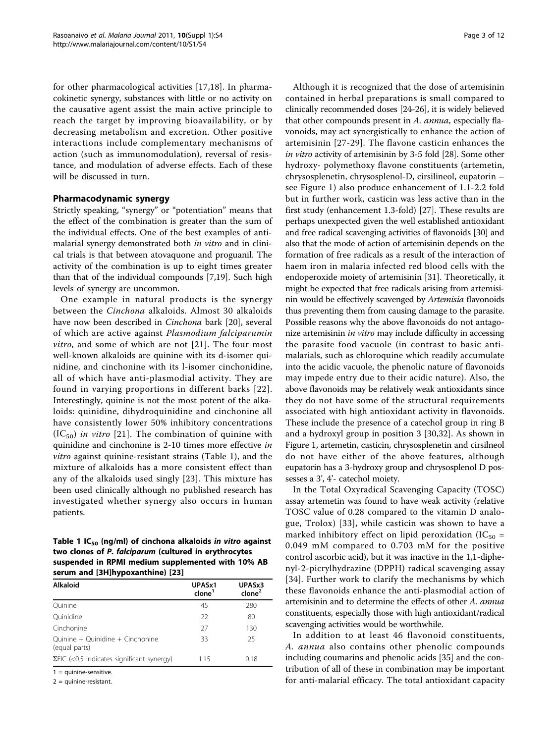for other pharmacological activities [[17,18](#page-8-0)]. In pharmacokinetic synergy, substances with little or no activity on the causative agent assist the main active principle to reach the target by improving bioavailability, or by decreasing metabolism and excretion. Other positive interactions include complementary mechanisms of action (such as immunomodulation), reversal of resistance, and modulation of adverse effects. Each of these will be discussed in turn.

## Pharmacodynamic synergy

Strictly speaking, "synergy" or "potentiation" means that the effect of the combination is greater than the sum of the individual effects. One of the best examples of antimalarial synergy demonstrated both in vitro and in clinical trials is that between atovaquone and proguanil. The activity of the combination is up to eight times greater than that of the individual compounds [[7](#page-8-0),[19](#page-8-0)]. Such high levels of synergy are uncommon.

One example in natural products is the synergy between the Cinchona alkaloids. Almost 30 alkaloids have now been described in *Cinchona* bark [[20\]](#page-8-0), several of which are active against Plasmodium falciparumin vitro, and some of which are not [[21\]](#page-8-0). The four most well-known alkaloids are quinine with its d-isomer quinidine, and cinchonine with its l-isomer cinchonidine, all of which have anti-plasmodial activity. They are found in varying proportions in different barks [[22\]](#page-8-0). Interestingly, quinine is not the most potent of the alkaloids: quinidine, dihydroquinidine and cinchonine all have consistently lower 50% inhibitory concentrations  $(IC_{50})$  in vitro [[21](#page-8-0)]. The combination of quinine with quinidine and cinchonine is 2-10 times more effective in vitro against quinine-resistant strains (Table 1), and the mixture of alkaloids has a more consistent effect than any of the alkaloids used singly [\[23](#page-8-0)]. This mixture has been used clinically although no published research has investigated whether synergy also occurs in human patients.

Table 1  $IC_{50}$  (ng/ml) of cinchona alkaloids in vitro against two clones of P. falciparum (cultured in erythrocytes suspended in RPMI medium supplemented with 10% AB serum and [3H]hypoxanthine) [[23](#page-8-0)]

| $5000$ and $10000$ $10000$ $10000$ $1000$ |                              |  |
|-------------------------------------------|------------------------------|--|
| UPASx1<br>clone <sup>1</sup>              | UPASx3<br>clone <sup>2</sup> |  |
| 45                                        | 280                          |  |
| 22                                        | 80                           |  |
| 27                                        | 130                          |  |
| 33                                        | 25                           |  |
| 1.15                                      | 0.18                         |  |
|                                           |                              |  |

 $1 =$  quinine-sensitive.

2 = quinine-resistant.

Although it is recognized that the dose of artemisinin contained in herbal preparations is small compared to clinically recommended doses [\[24-26\]](#page-9-0), it is widely believed that other compounds present in A. annua, especially flavonoids, may act synergistically to enhance the action of artemisinin [[27](#page-9-0)-[29](#page-9-0)]. The flavone casticin enhances the in vitro activity of artemisinin by 3-5 fold [[28](#page-9-0)]. Some other hydroxy- polymethoxy flavone constituents (artemetin, chrysosplenetin, chrysosplenol-D, cirsilineol, eupatorin – see Figure [1\)](#page-3-0) also produce enhancement of 1.1-2.2 fold but in further work, casticin was less active than in the first study (enhancement 1.3-fold) [[27\]](#page-9-0). These results are perhaps unexpected given the well established antioxidant and free radical scavenging activities of flavonoids [\[30\]](#page-9-0) and also that the mode of action of artemisinin depends on the formation of free radicals as a result of the interaction of haem iron in malaria infected red blood cells with the endoperoxide moiety of artemisinin [\[31](#page-9-0)]. Theoretically, it might be expected that free radicals arising from artemisinin would be effectively scavenged by Artemisia flavonoids thus preventing them from causing damage to the parasite. Possible reasons why the above flavonoids do not antagonize artemisinin *in vitro* may include difficulty in accessing the parasite food vacuole (in contrast to basic antimalarials, such as chloroquine which readily accumulate into the acidic vacuole, the phenolic nature of flavonoids may impede entry due to their acidic nature). Also, the above flavonoids may be relatively weak antioxidants since they do not have some of the structural requirements associated with high antioxidant activity in flavonoids. These include the presence of a catechol group in ring B and a hydroxyl group in position 3 [[30,32](#page-9-0)]. As shown in Figure [1](#page-3-0), artemetin, casticin, chrysosplenetin and cirsilneol do not have either of the above features, although eupatorin has a 3-hydroxy group and chrysosplenol D possesses a 3', 4'- catechol moiety.

In the Total Oxyradical Scavenging Capacity (TOSC) assay artemetin was found to have weak activity (relative TOSC value of 0.28 compared to the vitamin D analogue, Trolox) [[33\]](#page-9-0), while casticin was shown to have a marked inhibitory effect on lipid peroxidation ( $IC_{50}$  = 0.049 mM compared to 0.703 mM for the positive control ascorbic acid), but it was inactive in the 1,1-diphenyl-2-picrylhydrazine (DPPH) radical scavenging assay [[34](#page-9-0)]. Further work to clarify the mechanisms by which these flavonoids enhance the anti-plasmodial action of artemisinin and to determine the effects of other A. annua constituents, especially those with high antioxidant/radical scavenging activities would be worthwhile.

In addition to at least 46 flavonoid constituents, A. annua also contains other phenolic compounds including coumarins and phenolic acids [[35](#page-9-0)] and the contribution of all of these in combination may be important for anti-malarial efficacy. The total antioxidant capacity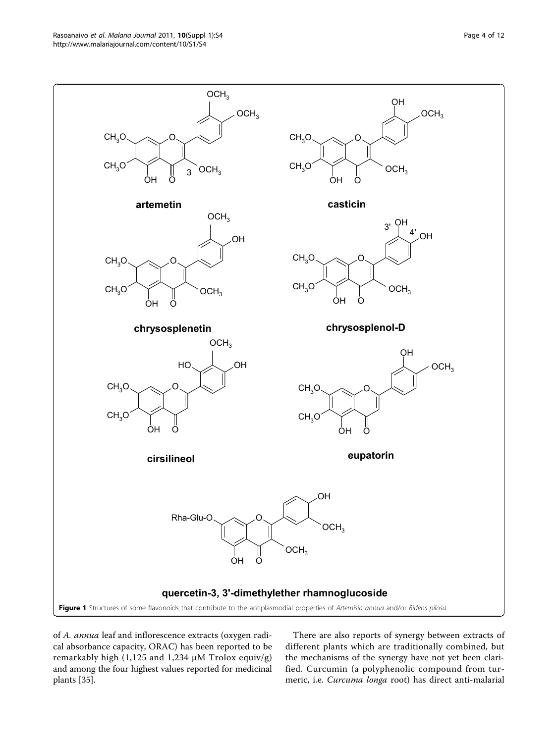<span id="page-3-0"></span>

of A. annua leaf and inflorescence extracts (oxygen radical absorbance capacity, ORAC) has been reported to be remarkably high (1,125 and 1,234 μM Trolox equiv/g) and among the four highest values reported for medicinal plants [[35\]](#page-9-0).

There are also reports of synergy between extracts of different plants which are traditionally combined, but the mechanisms of the synergy have not yet been clarified. Curcumin (a polyphenolic compound from turmeric, i.e. Curcuma longa root) has direct anti-malarial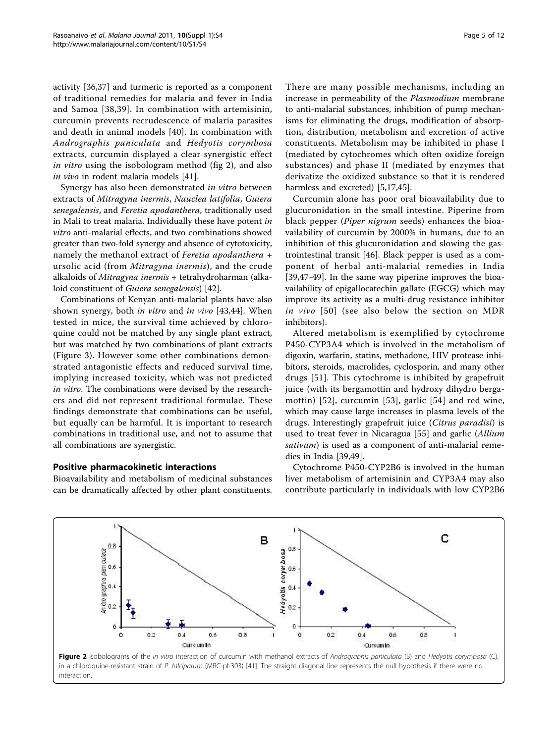activity [\[36,37\]](#page-9-0) and turmeric is reported as a component of traditional remedies for malaria and fever in India and Samoa [[38](#page-9-0),[39](#page-9-0)]. In combination with artemisinin, curcumin prevents recrudescence of malaria parasites and death in animal models [[40\]](#page-9-0). In combination with Andrographis paniculata and Hedyotis corymbosa extracts, curcumin displayed a clear synergistic effect in vitro using the isobologram method (fig 2), and also in vivo in rodent malaria models [\[41](#page-9-0)].

Synergy has also been demonstrated in vitro between extracts of Mitragyna inermis, Nauclea latifolia, Guiera senegalensis, and Feretia apodanthera, traditionally used in Mali to treat malaria. Individually these have potent in vitro anti-malarial effects, and two combinations showed greater than two-fold synergy and absence of cytotoxicity, namely the methanol extract of Feretia apodanthera + ursolic acid (from Mitragyna inermis), and the crude alkaloids of Mitragyna inermis + tetrahydroharman (alkaloid constituent of Guiera senegalensis) [[42](#page-9-0)].

Combinations of Kenyan anti-malarial plants have also shown synergy, both *in vitro* and *in vivo* [\[43,44](#page-9-0)]. When tested in mice, the survival time achieved by chloroquine could not be matched by any single plant extract, but was matched by two combinations of plant extracts (Figure [3](#page-5-0)). However some other combinations demonstrated antagonistic effects and reduced survival time, implying increased toxicity, which was not predicted in vitro. The combinations were devised by the researchers and did not represent traditional formulae. These findings demonstrate that combinations can be useful, but equally can be harmful. It is important to research combinations in traditional use, and not to assume that all combinations are synergistic.

## Positive pharmacokinetic interactions

Bioavailability and metabolism of medicinal substances can be dramatically affected by other plant constituents.

There are many possible mechanisms, including an increase in permeability of the Plasmodium membrane to anti-malarial substances, inhibition of pump mechanisms for eliminating the drugs, modification of absorption, distribution, metabolism and excretion of active constituents. Metabolism may be inhibited in phase I (mediated by cytochromes which often oxidize foreign substances) and phase II (mediated by enzymes that derivatize the oxidized substance so that it is rendered harmless and excreted) [[5,17,](#page-8-0)[45\]](#page-9-0).

Curcumin alone has poor oral bioavailability due to glucuronidation in the small intestine. Piperine from black pepper (Piper nigrum seeds) enhances the bioavailability of curcumin by 2000% in humans, due to an inhibition of this glucuronidation and slowing the gastrointestinal transit [[46](#page-9-0)]. Black pepper is used as a component of herbal anti-malarial remedies in India [[39,47-49](#page-9-0)]. In the same way piperine improves the bioavailability of epigallocatechin gallate (EGCG) which may improve its activity as a multi-drug resistance inhibitor in vivo [[50](#page-9-0)] (see also below the section on MDR inhibitors).

Altered metabolism is exemplified by cytochrome P450-CYP3A4 which is involved in the metabolism of digoxin, warfarin, statins, methadone, HIV protease inhibitors, steroids, macrolides, cyclosporin, and many other drugs [\[51\]](#page-9-0). This cytochrome is inhibited by grapefruit juice (with its bergamottin and hydroxy dihydro bergamottin) [[52](#page-9-0)], curcumin [[53](#page-9-0)], garlic [[54](#page-9-0)] and red wine, which may cause large increases in plasma levels of the drugs. Interestingly grapefruit juice (Citrus paradisi) is used to treat fever in Nicaragua [\[55](#page-9-0)] and garlic (Allium sativum) is used as a component of anti-malarial remedies in India [\[39,49\]](#page-9-0).

Cytochrome P450-CYP2B6 is involved in the human liver metabolism of artemisinin and CYP3A4 may also contribute particularly in individuals with low CYP2B6



in a chloroquine-resistant strain of P. falciparum (MRC-pf-303) [[41](#page-9-0)]. The straight diagonal line represents the null hypothesis if there were no interaction.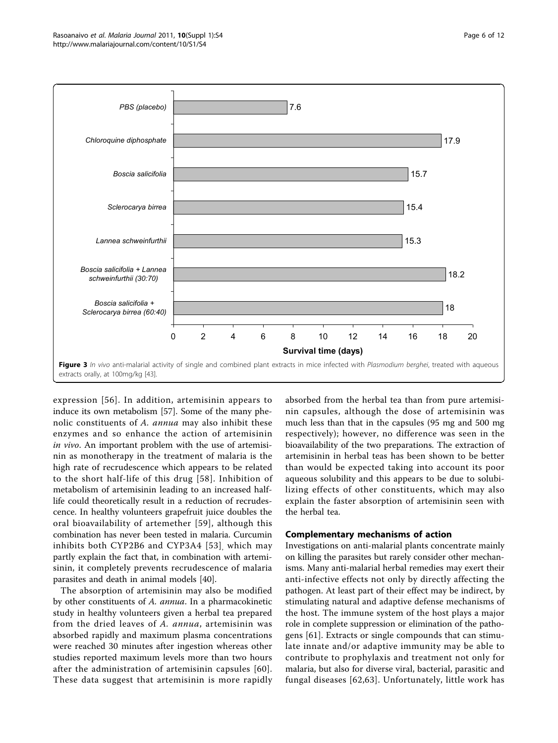<span id="page-5-0"></span>

expression [[56](#page-9-0)]. In addition, artemisinin appears to induce its own metabolism [[57](#page-9-0)]. Some of the many phenolic constituents of A. annua may also inhibit these enzymes and so enhance the action of artemisinin in vivo. An important problem with the use of artemisinin as monotherapy in the treatment of malaria is the high rate of recrudescence which appears to be related to the short half-life of this drug [[58\]](#page-9-0). Inhibition of metabolism of artemisinin leading to an increased halflife could theoretically result in a reduction of recrudescence. In healthy volunteers grapefruit juice doubles the oral bioavailability of artemether [[59](#page-9-0)], although this combination has never been tested in malaria. Curcumin inhibits both CYP2B6 and CYP3A4 [[53](#page-9-0)], which may partly explain the fact that, in combination with artemisinin, it completely prevents recrudescence of malaria parasites and death in animal models [\[40\]](#page-9-0).

The absorption of artemisinin may also be modified by other constituents of A. annua. In a pharmacokinetic study in healthy volunteers given a herbal tea prepared from the dried leaves of A. annua, artemisinin was absorbed rapidly and maximum plasma concentrations were reached 30 minutes after ingestion whereas other studies reported maximum levels more than two hours after the administration of artemisinin capsules [\[60\]](#page-9-0). These data suggest that artemisinin is more rapidly

absorbed from the herbal tea than from pure artemisinin capsules, although the dose of artemisinin was much less than that in the capsules (95 mg and 500 mg respectively); however, no difference was seen in the bioavailability of the two preparations. The extraction of artemisinin in herbal teas has been shown to be better than would be expected taking into account its poor aqueous solubility and this appears to be due to solubilizing effects of other constituents, which may also explain the faster absorption of artemisinin seen with the herbal tea.

## Complementary mechanisms of action

Investigations on anti-malarial plants concentrate mainly on killing the parasites but rarely consider other mechanisms. Many anti-malarial herbal remedies may exert their anti-infective effects not only by directly affecting the pathogen. At least part of their effect may be indirect, by stimulating natural and adaptive defense mechanisms of the host. The immune system of the host plays a major role in complete suppression or elimination of the pathogens [[61\]](#page-9-0). Extracts or single compounds that can stimulate innate and/or adaptive immunity may be able to contribute to prophylaxis and treatment not only for malaria, but also for diverse viral, bacterial, parasitic and fungal diseases [[62](#page-9-0),[63](#page-9-0)]. Unfortunately, little work has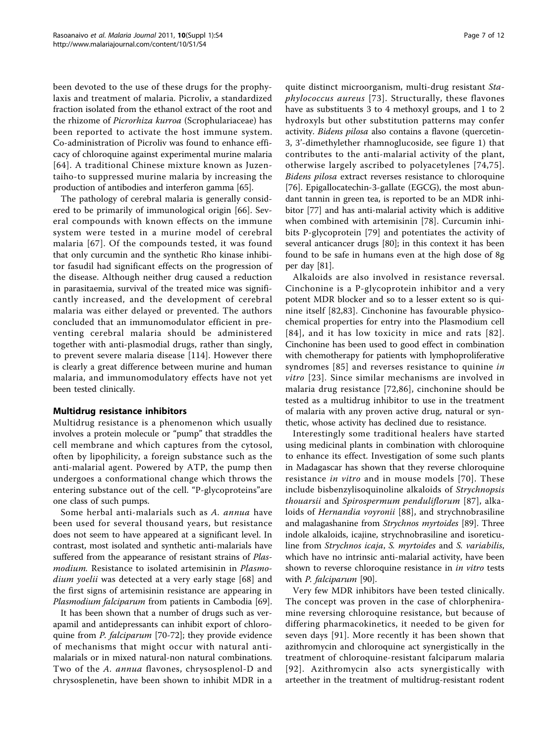been devoted to the use of these drugs for the prophylaxis and treatment of malaria. Picroliv, a standardized fraction isolated from the ethanol extract of the root and the rhizome of Picrorhiza kurroa (Scrophulariaceae) has been reported to activate the host immune system. Co-administration of Picroliv was found to enhance efficacy of chloroquine against experimental murine malaria [[64\]](#page-9-0). A traditional Chinese mixture known as Juzentaiho-to suppressed murine malaria by increasing the production of antibodies and interferon gamma [[65](#page-9-0)].

The pathology of cerebral malaria is generally considered to be primarily of immunological origin [[66\]](#page-9-0). Several compounds with known effects on the immune system were tested in a murine model of cerebral malaria [\[67\]](#page-9-0). Of the compounds tested, it was found that only curcumin and the synthetic Rho kinase inhibitor fasudil had significant effects on the progression of the disease. Although neither drug caused a reduction in parasitaemia, survival of the treated mice was significantly increased, and the development of cerebral malaria was either delayed or prevented. The authors concluded that an immunomodulator efficient in preventing cerebral malaria should be administered together with anti-plasmodial drugs, rather than singly, to prevent severe malaria disease [[114](#page-11-0)]. However there is clearly a great difference between murine and human malaria, and immunomodulatory effects have not yet been tested clinically.

## Multidrug resistance inhibitors

Multidrug resistance is a phenomenon which usually involves a protein molecule or "pump" that straddles the cell membrane and which captures from the cytosol, often by lipophilicity, a foreign substance such as the anti-malarial agent. Powered by ATP, the pump then undergoes a conformational change which throws the entering substance out of the cell. "P-glycoproteins"are one class of such pumps.

Some herbal anti-malarials such as A. annua have been used for several thousand years, but resistance does not seem to have appeared at a significant level. In contrast, most isolated and synthetic anti-malarials have suffered from the appearance of resistant strains of *Plas*modium. Resistance to isolated artemisinin in Plasmo-dium yoelii was detected at a very early stage [\[68](#page-9-0)] and the first signs of artemisinin resistance are appearing in Plasmodium falciparum from patients in Cambodia [[69](#page-9-0)].

It has been shown that a number of drugs such as verapamil and antidepressants can inhibit export of chloroquine from *P. falciparum* [\[70](#page-9-0)-[72\]](#page-10-0); they provide evidence of mechanisms that might occur with natural antimalarials or in mixed natural-non natural combinations. Two of the A. annua flavones, chrysosplenol-D and chrysosplenetin, have been shown to inhibit MDR in a

quite distinct microorganism, multi-drug resistant Staphylococcus aureus [[73\]](#page-10-0). Structurally, these flavones have as substituents 3 to 4 methoxyl groups, and 1 to 2 hydroxyls but other substitution patterns may confer activity. Bidens pilosa also contains a flavone (quercetin-3, 3'-dimethylether rhamnoglucoside, see figure [1](#page-3-0)) that contributes to the anti-malarial activity of the plant, otherwise largely ascribed to polyacetylenes [[74,75\]](#page-10-0). Bidens pilosa extract reverses resistance to chloroquine [[76\]](#page-10-0). Epigallocatechin-3-gallate (EGCG), the most abundant tannin in green tea, is reported to be an MDR inhibitor [[77\]](#page-10-0) and has anti-malarial activity which is additive when combined with artemisinin [[78\]](#page-10-0). Curcumin inhibits P-glycoprotein [[79](#page-10-0)] and potentiates the activity of several anticancer drugs [[80\]](#page-10-0); in this context it has been found to be safe in humans even at the high dose of 8g per day [[81](#page-10-0)].

Alkaloids are also involved in resistance reversal. Cinchonine is a P-glycoprotein inhibitor and a very potent MDR blocker and so to a lesser extent so is quinine itself [[82,83](#page-10-0)]. Cinchonine has favourable physicochemical properties for entry into the Plasmodium cell [[84](#page-10-0)], and it has low toxicity in mice and rats [[82\]](#page-10-0). Cinchonine has been used to good effect in combination with chemotherapy for patients with lymphoproliferative syndromes [[85\]](#page-10-0) and reverses resistance to quinine in vitro [\[23](#page-8-0)]. Since similar mechanisms are involved in malaria drug resistance [[72](#page-10-0),[86](#page-10-0)], cinchonine should be tested as a multidrug inhibitor to use in the treatment of malaria with any proven active drug, natural or synthetic, whose activity has declined due to resistance.

Interestingly some traditional healers have started using medicinal plants in combination with chloroquine to enhance its effect. Investigation of some such plants in Madagascar has shown that they reverse chloroquine resistance in vitro and in mouse models [[70\]](#page-9-0). These include bisbenzylisoquinoline alkaloids of Strychnopsis thouarsii and Spirospermum penduliflorum [[87\]](#page-10-0), alkaloids of Hernandia voyronii [[88\]](#page-10-0), and strychnobrasiline and malagashanine from Strychnos myrtoides [[89\]](#page-10-0). Three indole alkaloids, icajine, strychnobrasiline and isoreticuline from Strychnos icaja, S. myrtoides and S. variabilis, which have no intrinsic anti-malarial activity, have been shown to reverse chloroquine resistance in *in vitro* tests with P. falciparum [\[90](#page-10-0)].

Very few MDR inhibitors have been tested clinically. The concept was proven in the case of chlorpheniramine reversing chloroquine resistance, but because of differing pharmacokinetics, it needed to be given for seven days [[91](#page-10-0)]. More recently it has been shown that azithromycin and chloroquine act synergistically in the treatment of chloroquine-resistant falciparum malaria [[92](#page-10-0)]. Azithromycin also acts synergistically with arteether in the treatment of multidrug-resistant rodent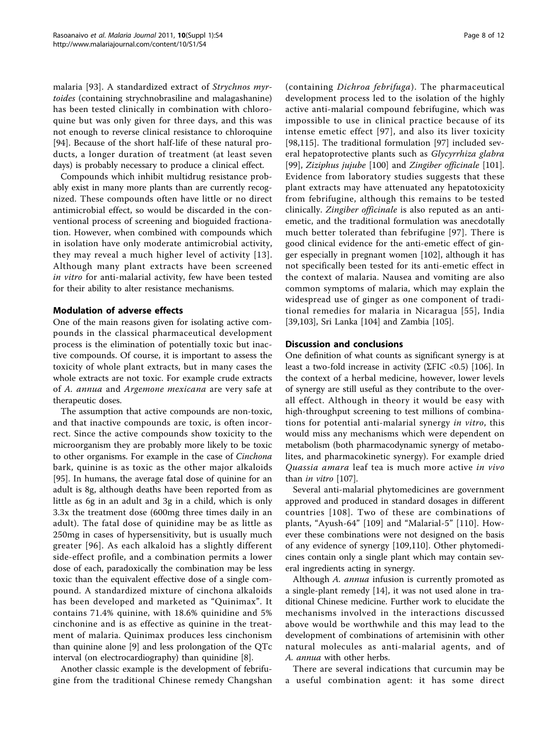malaria [[93](#page-10-0)]. A standardized extract of Strychnos myrtoides (containing strychnobrasiline and malagashanine) has been tested clinically in combination with chloroquine but was only given for three days, and this was not enough to reverse clinical resistance to chloroquine [[94\]](#page-10-0). Because of the short half-life of these natural products, a longer duration of treatment (at least seven days) is probably necessary to produce a clinical effect.

Compounds which inhibit multidrug resistance probably exist in many more plants than are currently recognized. These compounds often have little or no direct antimicrobial effect, so would be discarded in the conventional process of screening and bioguided fractionation. However, when combined with compounds which in isolation have only moderate antimicrobial activity, they may reveal a much higher level of activity [[13\]](#page-8-0). Although many plant extracts have been screened in vitro for anti-malarial activity, few have been tested for their ability to alter resistance mechanisms.

### Modulation of adverse effects

One of the main reasons given for isolating active compounds in the classical pharmaceutical development process is the elimination of potentially toxic but inactive compounds. Of course, it is important to assess the toxicity of whole plant extracts, but in many cases the whole extracts are not toxic. For example crude extracts of A. annua and Argemone mexicana are very safe at therapeutic doses.

The assumption that active compounds are non-toxic, and that inactive compounds are toxic, is often incorrect. Since the active compounds show toxicity to the microorganism they are probably more likely to be toxic to other organisms. For example in the case of Cinchona bark, quinine is as toxic as the other major alkaloids [[95\]](#page-10-0). In humans, the average fatal dose of quinine for an adult is 8g, although deaths have been reported from as little as 6g in an adult and 3g in a child, which is only 3.3x the treatment dose (600mg three times daily in an adult). The fatal dose of quinidine may be as little as 250mg in cases of hypersensitivity, but is usually much greater [[96](#page-10-0)]. As each alkaloid has a slightly different side-effect profile, and a combination permits a lower dose of each, paradoxically the combination may be less toxic than the equivalent effective dose of a single compound. A standardized mixture of cinchona alkaloids has been developed and marketed as "Quinimax". It contains 71.4% quinine, with 18.6% quinidine and 5% cinchonine and is as effective as quinine in the treatment of malaria. Quinimax produces less cinchonism than quinine alone [[9\]](#page-8-0) and less prolongation of the QTc interval (on electrocardiography) than quinidine [\[8](#page-8-0)].

Another classic example is the development of febrifugine from the traditional Chinese remedy Changshan (containing Dichroa febrifuga). The pharmaceutical development process led to the isolation of the highly active anti-malarial compound febrifugine, which was impossible to use in clinical practice because of its intense emetic effect [[97](#page-10-0)], and also its liver toxicity [[98](#page-10-0)[,115](#page-11-0)]. The traditional formulation [\[97](#page-10-0)] included several hepatoprotective plants such as Glycyrrhiza glabra [[99\]](#page-10-0), Ziziphus jujube [\[100](#page-10-0)] and Zingiber officinale [\[101](#page-10-0)]. Evidence from laboratory studies suggests that these plant extracts may have attenuated any hepatotoxicity from febrifugine, although this remains to be tested clinically. Zingiber officinale is also reputed as an antiemetic, and the traditional formulation was anecdotally much better tolerated than febrifugine [\[97\]](#page-10-0). There is good clinical evidence for the anti-emetic effect of ginger especially in pregnant women [\[102](#page-10-0)], although it has not specifically been tested for its anti-emetic effect in the context of malaria. Nausea and vomiting are also common symptoms of malaria, which may explain the widespread use of ginger as one component of traditional remedies for malaria in Nicaragua [[55](#page-9-0)], India [[39,](#page-9-0)[103](#page-10-0)], Sri Lanka [\[104\]](#page-10-0) and Zambia [[105](#page-10-0)].

### Discussion and conclusions

One definition of what counts as significant synergy is at least a two-fold increase in activity ( $\Sigma FIC < 0.5$ ) [\[106](#page-10-0)]. In the context of a herbal medicine, however, lower levels of synergy are still useful as they contribute to the overall effect. Although in theory it would be easy with high-throughput screening to test millions of combinations for potential anti-malarial synergy in vitro, this would miss any mechanisms which were dependent on metabolism (both pharmacodynamic synergy of metabolites, and pharmacokinetic synergy). For example dried Quassia amara leaf tea is much more active in vivo than in vitro [\[107](#page-10-0)].

Several anti-malarial phytomedicines are government approved and produced in standard dosages in different countries [[108\]](#page-10-0). Two of these are combinations of plants, "Ayush-64" [[109](#page-10-0)] and "Malarial-5" [[110\]](#page-10-0). However these combinations were not designed on the basis of any evidence of synergy [\[109,110](#page-10-0)]. Other phytomedicines contain only a single plant which may contain several ingredients acting in synergy.

Although A. annua infusion is currently promoted as a single-plant remedy [\[14\]](#page-8-0), it was not used alone in traditional Chinese medicine. Further work to elucidate the mechanisms involved in the interactions discussed above would be worthwhile and this may lead to the development of combinations of artemisinin with other natural molecules as anti-malarial agents, and of A. annua with other herbs.

There are several indications that curcumin may be a useful combination agent: it has some direct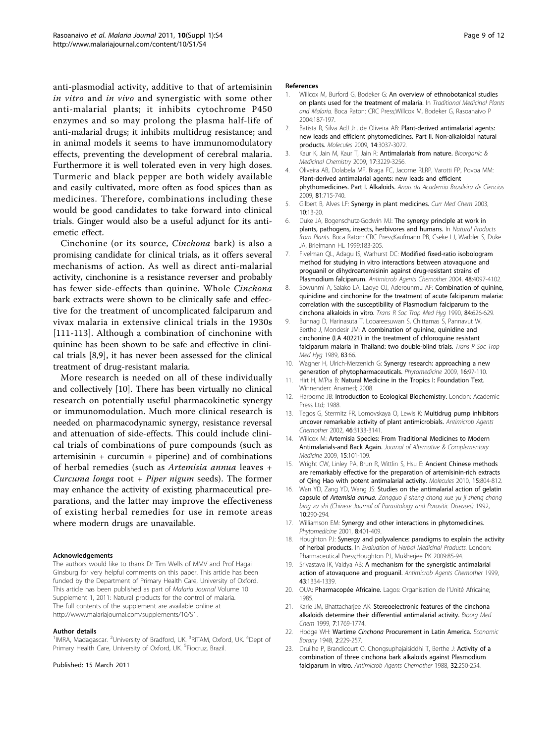<span id="page-8-0"></span>anti-plasmodial activity, additive to that of artemisinin in vitro and in vivo and synergistic with some other anti-malarial plants; it inhibits cytochrome P450 enzymes and so may prolong the plasma half-life of anti-malarial drugs; it inhibits multidrug resistance; and in animal models it seems to have immunomodulatory effects, preventing the development of cerebral malaria. Furthermore it is well tolerated even in very high doses. Turmeric and black pepper are both widely available and easily cultivated, more often as food spices than as medicines. Therefore, combinations including these would be good candidates to take forward into clinical trials. Ginger would also be a useful adjunct for its antiemetic effect.

Cinchonine (or its source, Cinchona bark) is also a promising candidate for clinical trials, as it offers several mechanisms of action. As well as direct anti-malarial activity, cinchonine is a resistance reverser and probably has fewer side-effects than quinine. Whole Cinchona bark extracts were shown to be clinically safe and effective for the treatment of uncomplicated falciparum and vivax malaria in extensive clinical trials in the 1930s [[111](#page-11-0)-[113](#page-11-0)]. Although a combination of cinchonine with quinine has been shown to be safe and effective in clinical trials [8,9], it has never been assessed for the clinical treatment of drug-resistant malaria.

More research is needed on all of these individually and collectively [10]. There has been virtually no clinical research on potentially useful pharmacokinetic synergy or immunomodulation. Much more clinical research is needed on pharmacodynamic synergy, resistance reversal and attenuation of side-effects. This could include clinical trials of combinations of pure compounds (such as artemisinin + curcumin + piperine) and of combinations of herbal remedies (such as Artemisia annua leaves + Curcuma longa root + Piper nigum seeds). The former may enhance the activity of existing pharmaceutical preparations, and the latter may improve the effectiveness of existing herbal remedies for use in remote areas where modern drugs are unavailable.

#### Acknowledgements

The authors would like to thank Dr Tim Wells of MMV and Prof Hagai Ginsburg for very helpful comments on this paper. This article has been funded by the Department of Primary Health Care, University of Oxford. This article has been published as part of Malaria Journal Volume 10 Supplement 1, 2011: Natural products for the control of malaria. The full contents of the supplement are available online at [http://www.malariajournal.com/supplements/10/S1.](http://www.malariajournal.com/supplements/10/S1)

#### Author details

<sup>1</sup>IMRA, Madagascar. <sup>2</sup>University of Bradford, UK. <sup>3</sup>RITAM, Oxford, UK. <sup>4</sup>Dept of Primary Health Care, University of Oxford, UK. <sup>5</sup>Fiocruz, Brazil.

#### Published: 15 March 2011

#### References

- 1. Willcox M, Burford G, Bodeker G: An overview of ethnobotanical studies on plants used for the treatment of malaria. In Traditional Medicinal Plants and Malaria. Boca Raton: CRC Press;Willcox M, Bodeker G, Rasoanaivo P 2004:187-197.
- 2. Batista R, Silva AdJ Jr., de Oliveira AB: [Plant-derived antimalarial agents:](http://www.ncbi.nlm.nih.gov/pubmed/19701144?dopt=Abstract) [new leads and efficient phytomedicines. Part II. Non-alkaloidal natural](http://www.ncbi.nlm.nih.gov/pubmed/19701144?dopt=Abstract) [products.](http://www.ncbi.nlm.nih.gov/pubmed/19701144?dopt=Abstract) Molecules 2009, 14:3037-3072.
- 3. Kaur K, Jain M, Kaur T, Jain R: [Antimalarials from nature.](http://www.ncbi.nlm.nih.gov/pubmed/19299148?dopt=Abstract) Bioorganic & Medicinal Chemistry 2009, 17:3229-3256.
- 4. Oliveira AB, Dolabela MF, Braga FC, Jacome RLRP, Varotti FP, Povoa MM: [Plant-derived antimalarial agents: new leads and efficient](http://www.ncbi.nlm.nih.gov/pubmed/19893898?dopt=Abstract) [phythomedicines. Part I. Alkaloids.](http://www.ncbi.nlm.nih.gov/pubmed/19893898?dopt=Abstract) Anais da Academia Brasileira de Ciencias 2009, 81:715-740.
- 5. Gilbert B, Alves LF: [Synergy in plant medicines.](http://www.ncbi.nlm.nih.gov/pubmed/12570718?dopt=Abstract) Curr Med Chem 2003, 10:13-20.
- 6. Duke JA, Bogenschutz-Godwin MJ: The synergy principle at work in plants, pathogens, insects, herbivores and humans. In Natural Products from Plants. Boca Raton: CRC Press;Kaufmann PB, Cseke LJ, Warbler S, Duke JA, Brielmann HL 1999:183-205.
- 7. Fivelman QL, Adagu IS, Warhurst DC: [Modified fixed-ratio isobologram](http://www.ncbi.nlm.nih.gov/pubmed/15504827?dopt=Abstract) [method for studying in vitro interactions between atovaquone and](http://www.ncbi.nlm.nih.gov/pubmed/15504827?dopt=Abstract) [proguanil or dihydroartemisinin against drug-resistant strains of](http://www.ncbi.nlm.nih.gov/pubmed/15504827?dopt=Abstract) [Plasmodium falciparum.](http://www.ncbi.nlm.nih.gov/pubmed/15504827?dopt=Abstract) Antimicrob Agents Chemother 2004, 48:4097-4102.
- 8. Sowunmi A, Salako LA, Laove OJ, Aderounmu AF: [Combination of quinine,](http://www.ncbi.nlm.nih.gov/pubmed/2278056?dopt=Abstract) [quinidine and cinchonine for the treatment of acute falciparum malaria:](http://www.ncbi.nlm.nih.gov/pubmed/2278056?dopt=Abstract) [correlation with the susceptibility of Plasmodium falciparum to the](http://www.ncbi.nlm.nih.gov/pubmed/2278056?dopt=Abstract) [cinchona alkaloids in vitro.](http://www.ncbi.nlm.nih.gov/pubmed/2278056?dopt=Abstract) Trans R Soc Trop Med Hyg 1990, 84:626-629.
- 9. Bunnag D, Harinasuta T, Looareesuwan S, Chittamas S, Pannavut W, Berthe J, Mondesir JM: [A combination of quinine, quinidine and](http://www.ncbi.nlm.nih.gov/pubmed/2690417?dopt=Abstract) [cinchonine \(LA 40221\) in the treatment of chloroquine resistant](http://www.ncbi.nlm.nih.gov/pubmed/2690417?dopt=Abstract) [falciparum malaria in Thailand: two double-blind trials.](http://www.ncbi.nlm.nih.gov/pubmed/2690417?dopt=Abstract) Trans R Soc Trop Med Hyg 1989, 83:66.
- 10. Wagner H, Ulrich-Merzenich G: [Synergy research: approaching a new](http://www.ncbi.nlm.nih.gov/pubmed/19211237?dopt=Abstract) [generation of phytopharmaceuticals.](http://www.ncbi.nlm.nih.gov/pubmed/19211237?dopt=Abstract) Phytomedicine 2009, 16:97-110.
- 11. Hirt H, M'Pia B: Natural Medicine in the Tropics I: Foundation Text. Winnenden: Anamed; 2008.
- 12. Harborne JB: Introduction to Ecological Biochemistry. London: Academic Press Ltd; 1988.
- 13. Tegos G, Stermitz FR, Lomovskaya O, Lewis K: [Multidrug pump inhibitors](http://www.ncbi.nlm.nih.gov/pubmed/12234835?dopt=Abstract) [uncover remarkable activity of plant antimicrobials.](http://www.ncbi.nlm.nih.gov/pubmed/12234835?dopt=Abstract) Antimicrob Agents Chemother 2002, 46:3133-3141.
- 14. Willcox M: Artemisia Species: From Traditional Medicines to Modern Antimalarials-and Back Again. Journal of Alternative & Complementary Medicine 2009, 15:101-109.
- 15. Wright CW, Linley PA, Brun R, Wittlin S, Hsu E: [Ancient Chinese methods](http://www.ncbi.nlm.nih.gov/pubmed/20335947?dopt=Abstract) [are remarkably effective for the preparation of artemisinin-rich extracts](http://www.ncbi.nlm.nih.gov/pubmed/20335947?dopt=Abstract) of [Qing Hao with potent antimalarial activity.](http://www.ncbi.nlm.nih.gov/pubmed/20335947?dopt=Abstract) Molecules 2010, 15:804-812.
- 16. Wan YD, Zang YD, Wang JS: Studies on the antimalarial action of gelatin capsule of Artemisia annua. Zongguo ji sheng chong xue yu ji sheng chong bing za shi (Chinese Journal of Parasitology and Parasitic Diseases) 1992, 10:290-294.
- 17. Williamson EM: [Synergy and other interactions in phytomedicines.](http://www.ncbi.nlm.nih.gov/pubmed/11695885?dopt=Abstract) Phytomedicine 2001, 8:401-409.
- 18. Houghton PJ: Synergy and polyvalence: paradigms to explain the activity of herbal products. In Evaluation of Herbal Medicinal Products. London: Pharmaceutical Press;Houghton PJ, Mukherjee PK 2009:85-94.
- 19. Srivastava IK, Vaidya AB: [A mechanism for the synergistic antimalarial](http://www.ncbi.nlm.nih.gov/pubmed/10348748?dopt=Abstract) [action of atovaquone and proguanil.](http://www.ncbi.nlm.nih.gov/pubmed/10348748?dopt=Abstract) Antimicrob Agents Chemother 1999, 43:1334-1339.
- 20. OUA: Pharmacopée Africaine. Lagos: Organisation de l'Unité Africaine: 1985.
- 21. Karle JM, Bhattacharjee AK: [Stereoelectronic features of the cinchona](http://www.ncbi.nlm.nih.gov/pubmed/10530923?dopt=Abstract) [alkaloids determine their differential antimalarial activity.](http://www.ncbi.nlm.nih.gov/pubmed/10530923?dopt=Abstract) Bioorg Med Chem 1999, 7:1769-1774.
- 22. Hodge WH: Wartime Cinchona Procurement in Latin America. Economic Botany 1948, 2:229-257.
- 23. Druilhe P, Brandicourt O, Chongsuphajaisiddhi T, Berthe J: [Activity of a](http://www.ncbi.nlm.nih.gov/pubmed/3284455?dopt=Abstract) [combination of three cinchona bark alkaloids against Plasmodium](http://www.ncbi.nlm.nih.gov/pubmed/3284455?dopt=Abstract) [falciparum in vitro.](http://www.ncbi.nlm.nih.gov/pubmed/3284455?dopt=Abstract) Antimicrob Agents Chemother 1988, 32:250-254.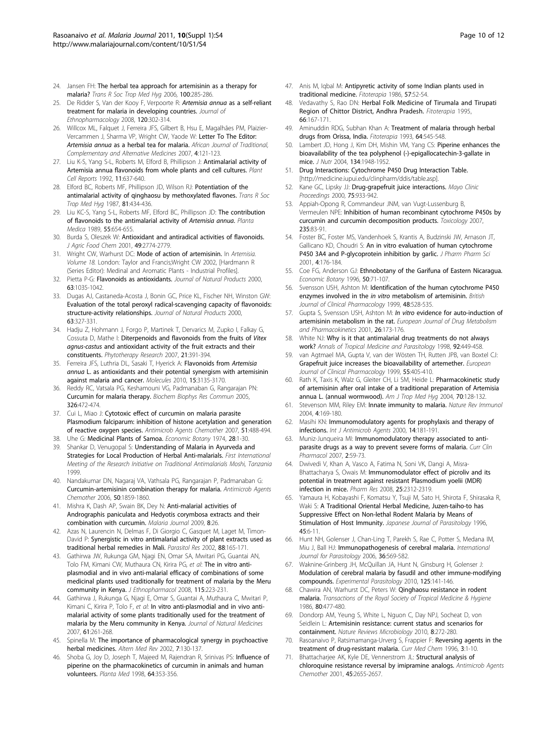- <span id="page-9-0"></span>24. Jansen FH: [The herbal tea approach for artemisinin as a therapy for](http://www.ncbi.nlm.nih.gov/pubmed/16274712?dopt=Abstract) [malaria?](http://www.ncbi.nlm.nih.gov/pubmed/16274712?dopt=Abstract) Trans R Soc Trop Med Hyg 2006, 100:285-286.
- 25. De Ridder S, Van der Kooy F, Verpoorte R: [Artemisia annua](http://www.ncbi.nlm.nih.gov/pubmed/18977424?dopt=Abstract) as a self-reliant [treatment for malaria in developing countries.](http://www.ncbi.nlm.nih.gov/pubmed/18977424?dopt=Abstract) Journal of Ethnopharmacology 2008, 120:302-314.
- 26. Willcox ML, Falquet J, Ferreira JFS, Gilbert B, Hsu E, Magalhães PM, Plaizier-Vercammen J, Sharma VP, Wright CW, Yaode W: Letter To The Editor: Artemisia annua as a herbal tea for malaria. African Journal of Traditional, Complementary and Alternative Medicines 2007, 4:121-123.
- 27. Liu K-S, Yang S-L, Roberts M, Elford B, Phillipson J: Antimalarial activity of Artemisia annua flavonoids from whole plants and cell cultures. Plant Cell Reports 1992, 11:637-640.
- 28. Elford BC, Roberts MF, Phillipson JD, Wilson RJ: [Potentiation of the](http://www.ncbi.nlm.nih.gov/pubmed/3318019?dopt=Abstract) [antimalarial activity of qinghaosu by methoxylated flavones.](http://www.ncbi.nlm.nih.gov/pubmed/3318019?dopt=Abstract) Trans R Soc Trop Med Hyg 1987, 81:434-436.
- 29. Liu KC-S, Yang S-L, Roberts MF, Elford BC, Phillipson JD: The contribution of flavonoids to the antimalarial activity of Artemisia annua. Planta Medica 1989, 55:654-655.
- 30. Burda S, Oleszek W: [Antioxidant and antiradical activities of flavonoids.](http://www.ncbi.nlm.nih.gov/pubmed/11409965?dopt=Abstract) J Agric Food Chem 2001, 49:2774-2779.
- 31. Wright CW, Warhurst DC: Mode of action of artemisinin. In Artemisia. Volume 18. London: Taylor and Francis;Wright CW 2002, [Hardmann R (Series Editor): Medinal and Aromatic Plants - Industrial Profiles].
- 32. Pietta P-G: [Flavonoids as antioxidants.](http://www.ncbi.nlm.nih.gov/pubmed/10924197?dopt=Abstract) Journal of Natural Products 2000, 63:1035-1042.
- 33. Dugas AJ, Castaneda-Acosta J, Bonin GC, Price KL, Fischer NH, Winston GW: [Evaluation of the total peroxyl radical-scavenging capacity of flavonoids:](http://www.ncbi.nlm.nih.gov/pubmed/10757712?dopt=Abstract) [structure-activity relationships.](http://www.ncbi.nlm.nih.gov/pubmed/10757712?dopt=Abstract) Journal of Natural Products 2000, 63:327-331.
- 34. Hadju Z, Hohmann J, Forgo P, Martinek T, Dervarics M, Zupko I, Falkay G, Cossuta D, Mathe I: [Diterpenoids and flavonoids from the fruits of](http://www.ncbi.nlm.nih.gov/pubmed/17262892?dopt=Abstract) Vitex agnus-castus [and antioxidant activity of the fruit extracts and their](http://www.ncbi.nlm.nih.gov/pubmed/17262892?dopt=Abstract) [constituents.](http://www.ncbi.nlm.nih.gov/pubmed/17262892?dopt=Abstract) Phytotherapy Research 2007, 21:391-394.
- 35. Ferreira JFS, Luthria DL, Sasaki T, Hyerick A: [Flavonoids from](http://www.ncbi.nlm.nih.gov/pubmed/20657468?dopt=Abstract) Artemisia annua [L. as antioxidants and their potential synergism with artemisinin](http://www.ncbi.nlm.nih.gov/pubmed/20657468?dopt=Abstract) [against malaria and cancer.](http://www.ncbi.nlm.nih.gov/pubmed/20657468?dopt=Abstract) Molecules 2010, 15:3135-3170.
- 36. Reddy RC, Vatsala PG, Keshamouni VG, Padmanaban G, Rangarajan PN: [Curcumin for malaria therapy.](http://www.ncbi.nlm.nih.gov/pubmed/15582601?dopt=Abstract) Biochem Biophys Res Commun 2005, 326:472-474.
- 37. Cui L, Miao J: [Cytotoxic effect of curcumin on malaria parasite](http://www.ncbi.nlm.nih.gov/pubmed/17145789?dopt=Abstract) [Plasmodium falciparum: inhibition of histone acetylation and generation](http://www.ncbi.nlm.nih.gov/pubmed/17145789?dopt=Abstract) [of reactive oxygen species.](http://www.ncbi.nlm.nih.gov/pubmed/17145789?dopt=Abstract) Antimicrob Agents Chemother 2007, 51:488-494.
- 38. Uhe G: Medicinal Plants of Samoa. Economic Botany 1974, 28:1-30.
- 39. Shankar D, Venugopal S: Understanding of Malaria in Ayurveda and Strategies for Local Production of Herbal Anti-malarials. First International Meeting of the Research Initiative on Traditional Antimalarials Moshi, Tanzania 1999.
- 40. Nandakumar DN, Nagaraj VA, Vathsala PG, Rangarajan P, Padmanaban G: [Curcumin-artemisinin combination therapy for malaria.](http://www.ncbi.nlm.nih.gov/pubmed/16641461?dopt=Abstract) Antimicrob Agents Chemother 2006, 50:1859-1860.
- 41. Mishra K, Dash AP, Swain BK, Dey N: [Anti-malarial activities of](http://www.ncbi.nlm.nih.gov/pubmed/19216765?dopt=Abstract) [Andrographis paniculata and Hedyotis corymbosa extracts and their](http://www.ncbi.nlm.nih.gov/pubmed/19216765?dopt=Abstract) [combination with curcumin.](http://www.ncbi.nlm.nih.gov/pubmed/19216765?dopt=Abstract) Malaria Journal 2009, 8:26.
- 42. Azas N, Laurencin N, Delmas F, Di Giorgio C, Gasquet M, Laget M, Timon-David P: [Synergistic in vitro antimalarial activity of plant extracts used as](http://www.ncbi.nlm.nih.gov/pubmed/11936507?dopt=Abstract) [traditional herbal remedies in Mali.](http://www.ncbi.nlm.nih.gov/pubmed/11936507?dopt=Abstract) Parasitol Res 2002, 88:165-171.
- 43. Gathirwa JW, Rukunga GM, Njagi EN, Omar SA, Mwitari PG, Guantai AN, Tolo FM, Kimani CW, Muthaura CN, Kirira PG, et al: [The in vitro anti](http://www.ncbi.nlm.nih.gov/pubmed/18065175?dopt=Abstract)[plasmodial and in vivo anti-malarial efficacy of combinations of some](http://www.ncbi.nlm.nih.gov/pubmed/18065175?dopt=Abstract) [medicinal plants used traditionally for treatment of malaria by the Meru](http://www.ncbi.nlm.nih.gov/pubmed/18065175?dopt=Abstract) [community in Kenya.](http://www.ncbi.nlm.nih.gov/pubmed/18065175?dopt=Abstract) J Ethnopharmacol 2008, 115:223-231.
- 44. Gathirwa J, Rukunga G, Njagi E, Omar S, Guantai A, Muthaura C, Mwitari P, Kimani C, Kirira P, Tolo F, et al: In vitro anti-plasmodial and in vivo antimalarial activity of some plants traditionally used for the treatment of malaria by the Meru community in Kenya. Journal of Natural Medicines 2007, 61:261-268.
- 45. Spinella M: [The importance of pharmacological synergy in psychoactive](http://www.ncbi.nlm.nih.gov/pubmed/11991792?dopt=Abstract) [herbal medicines.](http://www.ncbi.nlm.nih.gov/pubmed/11991792?dopt=Abstract) Altern Med Rev 2002, 7:130-137.
- 46. Shoba G, Joy D, Joseph T, Majeed M, Rajendran R, Srinivas PS: [Influence of](http://www.ncbi.nlm.nih.gov/pubmed/9619120?dopt=Abstract) [piperine on the pharmacokinetics of curcumin in animals and human](http://www.ncbi.nlm.nih.gov/pubmed/9619120?dopt=Abstract) [volunteers.](http://www.ncbi.nlm.nih.gov/pubmed/9619120?dopt=Abstract) Planta Med 1998, 64:353-356.
- 47. Anis M, Igbal M: Antipyretic activity of some Indian plants used in traditional medicine. Fitoterapia 1986, 57:52-54.
- 48. Vedavathy S, Rao DN: Herbal Folk Medicine of Tirumala and Tirupati Region of Chittor District, Andhra Pradesh. Fitoterapia 1995, 66:167-171.
- 49. Aminuddin RDG, Subhan Khan A: Treatment of malaria through herbal drugs from Orissa, India. Fitoterapia 1993, 64:545-548.
- 50. Lambert JD, Hong J, Kim DH, Mishin VM, Yang CS: [Piperine enhances the](http://www.ncbi.nlm.nih.gov/pubmed/15284381?dopt=Abstract) bioavailability [of the tea polyphenol \(-\)-epigallocatechin-3-gallate in](http://www.ncbi.nlm.nih.gov/pubmed/15284381?dopt=Abstract) [mice.](http://www.ncbi.nlm.nih.gov/pubmed/15284381?dopt=Abstract) J Nutr 2004, 134:1948-1952.
- 51. Drug Interactions: Cytochrome P450 Drug Interaction Table. [[http://medicine.iupui.edu/clinpharm/ddis/table.asp\]](http://medicine.iupui.edu/clinpharm/ddis/table.asp).
- 52. Kane GC, Lipsky JJ: [Drug-grapefruit juice interactions.](http://www.ncbi.nlm.nih.gov/pubmed/10994829?dopt=Abstract) Mayo Clinic Proceedings 2000, 75:933-942.
- 53. Appiah-Opong R, Commandeur JNM, van Vugt-Lussenburg B, Vermeulen NPE: [Inhibition of human recombinant cytochrome P450s by](http://www.ncbi.nlm.nih.gov/pubmed/17433521?dopt=Abstract) [curcumin and curcumin decomposition products.](http://www.ncbi.nlm.nih.gov/pubmed/17433521?dopt=Abstract) Toxicology 2007, 235:83-91.
- 54. Foster BC, Foster MS, Vandenhoek S, Krantis A, Budzinski JW, Arnason JT, Gallicano KD, Choudri S: [An in vitro evaluation of human cytochrome](http://www.ncbi.nlm.nih.gov/pubmed/11466175?dopt=Abstract) [P450 3A4 and P-glycoprotein inhibition by garlic.](http://www.ncbi.nlm.nih.gov/pubmed/11466175?dopt=Abstract) J Pharm Pharm Sci 2001, 4:176-184.
- 55. Coe FG, Anderson GJ: Ethnobotany of the Garífuna of Eastern Nicaragua. Economic Botany 1996, 50:71-107.
- 56. Svensson USH, Ashton M: [Identification of the human cytochrome P450](http://www.ncbi.nlm.nih.gov/pubmed/10583023?dopt=Abstract) enzymes involved in the in vitro [metabolism of artemisinin.](http://www.ncbi.nlm.nih.gov/pubmed/10583023?dopt=Abstract) British Journal of Clinical Pharmacology 1999, 48:528-535.
- 57. Gupta S, Svensson USH, Ashton M: In vitro [evidence for auto-induction of](http://www.ncbi.nlm.nih.gov/pubmed/11695717?dopt=Abstract) [artemisinin metabolism in the rat.](http://www.ncbi.nlm.nih.gov/pubmed/11695717?dopt=Abstract) European Journal of Drug Metabolism and Pharmacokinetics 2001, 26:173-176.
- 58. White NJ: [Why is it that antimalarial drug treatments do not always](http://www.ncbi.nlm.nih.gov/pubmed/9683896?dopt=Abstract) [work?](http://www.ncbi.nlm.nih.gov/pubmed/9683896?dopt=Abstract) Annals of Tropical Medicine and Parasitology 1998, 92:449-458.
- 59. van Agtmael MA, Gupta V, van der Wösten TH, Rutten JPB, van Boxtel CJ: [Grapefruit juice increases the bioavailability of artemether.](http://www.ncbi.nlm.nih.gov/pubmed/10456492?dopt=Abstract) European Journal of Clinical Pharmacology 1999, 55:405-410.
- 60. Rath K, Taxis K, Walz G, Gleiter CH, Li SM, Heide L: [Pharmacokinetic study](http://www.ncbi.nlm.nih.gov/pubmed/14993622?dopt=Abstract) [of artemisinin after oral intake of a traditional preparation of Artemisia](http://www.ncbi.nlm.nih.gov/pubmed/14993622?dopt=Abstract) [annua L. \(annual wormwood\).](http://www.ncbi.nlm.nih.gov/pubmed/14993622?dopt=Abstract) Am J Trop Med Hyg 2004, 70:128-132.
- 61. Stevenson MM, Riley EM: Innate immunity to malaria. Nature Rev Immunol 2004, 4:169-180.
- 62. Masihi KN: [Immunomodulatory agents for prophylaxis and therapy of](http://www.ncbi.nlm.nih.gov/pubmed/10773486?dopt=Abstract) [infections.](http://www.ncbi.nlm.nih.gov/pubmed/10773486?dopt=Abstract) Int J Antimicrob Agents 2000, 14:181-191.
- 63. Muniz-Junqueira MI: [Immunomodulatory therapy associated to anti](http://www.ncbi.nlm.nih.gov/pubmed/18690855?dopt=Abstract)[parasite drugs as a way to prevent severe forms of malaria.](http://www.ncbi.nlm.nih.gov/pubmed/18690855?dopt=Abstract) Curr Clin Pharmacol 2007, 2:59-73.
- 64. Dwivedi V, Khan A, Vasco A, Fatima N, Soni VK, Dangi A, Misra-Bhattacharya S, Owais M: Immunomodulator [effect of picroliv and its](http://www.ncbi.nlm.nih.gov/pubmed/18551251?dopt=Abstract) [potential in treatment against resistant Plasmodium yoelii \(MDR\)](http://www.ncbi.nlm.nih.gov/pubmed/18551251?dopt=Abstract) [infection in mice.](http://www.ncbi.nlm.nih.gov/pubmed/18551251?dopt=Abstract) Pharm Res 2008, 25:2312-2319.
- 65. Yamaura H, Kobayashi F, Komatsu Y, Tsuji M, Sato H, Shirota F, Shirasaka R, Waki S: A Traditional Oriental Herbal Medicine, Juzen-taiho-to has Suppressive Effect on Non-lethal Rodent Malaria by Means of Stimulation of Host Immunity. Japanese Journal of Parasitology 1996, 45:6-11.
- 66. Hunt NH, Golenser J, Chan-Ling T, Parekh S, Rae C, Potter S, Medana IM, Miu J, Ball HJ: [Immunopathogenesis of cerebral malaria.](http://www.ncbi.nlm.nih.gov/pubmed/16678181?dopt=Abstract) International Journal for Parasitology 2006, 36:569-582.
- Waknine-Grinberg JH, McQuillan JA, Hunt N, Ginsburg H, Golenser J: [Modulation of cerebral malaria by fasudil and other immune-modifying](http://www.ncbi.nlm.nih.gov/pubmed/20093114?dopt=Abstract) [compounds.](http://www.ncbi.nlm.nih.gov/pubmed/20093114?dopt=Abstract) Experimental Parasitology 2010, 125:141-146.
- 68. Chawira AN, Warhurst DC, Peters W: Qinghaosu resistance in rodent malaria. Transactions of the Royal Society of Tropical Medicine & Hygiene 1986, 80:477-480.
- 69. Dondorp AM, Yeung S, White L, Nguon C, Day NPJ, Socheat D, von Seidlein L: [Artemisinin resistance: current status and scenarios for](http://www.ncbi.nlm.nih.gov/pubmed/20208550?dopt=Abstract) [containment.](http://www.ncbi.nlm.nih.gov/pubmed/20208550?dopt=Abstract) Nature Reviews Microbiology 2010, 8:272-280.
- 70. Rasoanaivo P, Ratsimamanga-Urverg S, Frappier F: Reversing agents in the treatment of drug-resistant malaria. Curr Med Chem 1996, 3:1-10.
- 71. Bhattacharjee AK, Kyle DE, Vennerstrom JL: [Structural analysis of](http://www.ncbi.nlm.nih.gov/pubmed/11502547?dopt=Abstract) [chloroquine resistance reversal by imipramine analogs.](http://www.ncbi.nlm.nih.gov/pubmed/11502547?dopt=Abstract) Antimicrob Agents Chemother 2001, 45:2655-2657.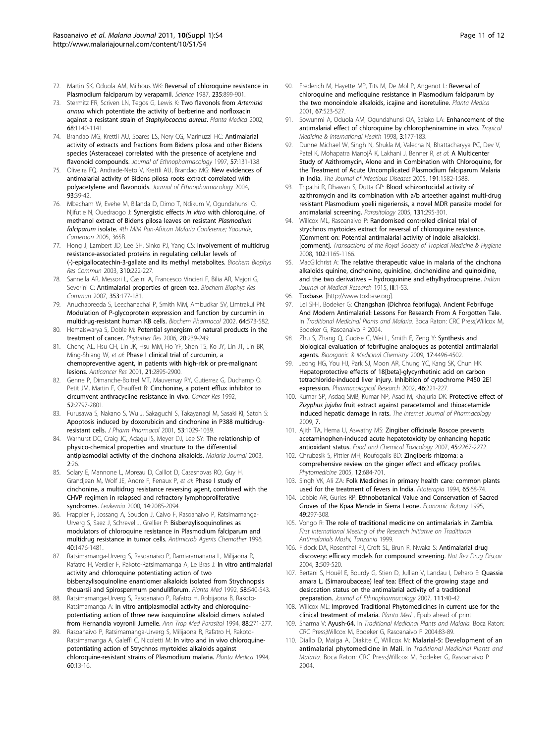- <span id="page-10-0"></span>72. Martin SK, Oduola AM, Milhous WK: [Reversal of chloroquine resistance in](http://www.ncbi.nlm.nih.gov/pubmed/3544220?dopt=Abstract) [Plasmodium falciparum by verapamil.](http://www.ncbi.nlm.nih.gov/pubmed/3544220?dopt=Abstract) Science 1987, 235:899-901.
- 73. Stermitz FR, Scriven LN, Tegos G, Lewis K: [Two flavonols from](http://www.ncbi.nlm.nih.gov/pubmed/12494348?dopt=Abstract) Artemisia annua [which potentiate the activity of berberine and norfloxacin](http://www.ncbi.nlm.nih.gov/pubmed/12494348?dopt=Abstract) [against a resistant strain of](http://www.ncbi.nlm.nih.gov/pubmed/12494348?dopt=Abstract) Staphylococcus aureus. Planta Medica 2002, 68:1140-1141.
- 74. Brandao MG, Krettli AU, Soares LS, Nery CG, Marinuzzi HC: [Antimalarial](http://www.ncbi.nlm.nih.gov/pubmed/9254115?dopt=Abstract) [activity of extracts and fractions from Bidens pilosa and other Bidens](http://www.ncbi.nlm.nih.gov/pubmed/9254115?dopt=Abstract) [species \(Asteraceae\) correlated with the presence of acetylene and](http://www.ncbi.nlm.nih.gov/pubmed/9254115?dopt=Abstract) [flavonoid compounds.](http://www.ncbi.nlm.nih.gov/pubmed/9254115?dopt=Abstract) Journal of Ethnopharmacology 1997, 57:131-138.
- 75. Oliveira FQ, Andrade-Neto V, Krettli AU, Brandao MG: [New evidences of](http://www.ncbi.nlm.nih.gov/pubmed/15182902?dopt=Abstract) [antimalarial activity of Bidens pilosa roots extract correlated with](http://www.ncbi.nlm.nih.gov/pubmed/15182902?dopt=Abstract) [polyacetylene and flavonoids.](http://www.ncbi.nlm.nih.gov/pubmed/15182902?dopt=Abstract) Journal of Ethnopharmacology 2004, 93:39-42.
- 76. Mbacham W, Evehe M, Bilanda D, Dimo T, Ndikum V, Ogundahunsi O, Njifutie N, Ouedraogo J: Synergistic effects in vitro with chloroquine, of methanol extract of Bidens pilosa leaves on resistant Plasmodium falciparum isolate. 4th MIM Pan-African Malaria Conference: Yaounde, Cameroon 2005, 365B.
- 77. Hong J, Lambert JD, Lee SH, Sinko PJ, Yang CS: [Involvement of multidrug](http://www.ncbi.nlm.nih.gov/pubmed/14511674?dopt=Abstract) [resistance-associated proteins in regulating cellular levels of](http://www.ncbi.nlm.nih.gov/pubmed/14511674?dopt=Abstract) [\(-\)-epigallocatechin-3-gallate and its methyl metabolites.](http://www.ncbi.nlm.nih.gov/pubmed/14511674?dopt=Abstract) Biochem Biophys Res Commun 2003, 310:222-227.
- 78. Sannella AR, Messori L, Casini A, Francesco Vincieri F, Bilia AR, Majori G, Severini C: [Antimalarial properties of green tea.](http://www.ncbi.nlm.nih.gov/pubmed/17174271?dopt=Abstract) Biochem Biophys Res Commun 2007, 353:177-181.
- 79. Anuchapreeda S, Leechanachai P, Smith MM, Ambudkar SV, Limtrakul PN: [Modulation of P-glycoprotein expression and function by curcumin in](http://www.ncbi.nlm.nih.gov/pubmed/12167476?dopt=Abstract) [multidrug-resistant human KB cells.](http://www.ncbi.nlm.nih.gov/pubmed/12167476?dopt=Abstract) Biochem Pharmacol 2002, 64:573-582.
- 80. Hemalswarya S, Doble M: [Potential synergism of natural products in the](http://www.ncbi.nlm.nih.gov/pubmed/16557604?dopt=Abstract) [treatment of cancer.](http://www.ncbi.nlm.nih.gov/pubmed/16557604?dopt=Abstract) Phytother Res 2006, 20:239-249.
- 81. Cheng AL, Hsu CH, Lin JK, Hsu MM, Ho YF, Shen TS, Ko JY, Lin JT, Lin BR, Ming-Shiang W, et al: [Phase I clinical trial of curcumin, a](http://www.ncbi.nlm.nih.gov/pubmed/11712783?dopt=Abstract) [chemopreventive agent, in patients with high-risk or pre-malignant](http://www.ncbi.nlm.nih.gov/pubmed/11712783?dopt=Abstract) [lesions.](http://www.ncbi.nlm.nih.gov/pubmed/11712783?dopt=Abstract) Anticancer Res 2001, 21:2895-2900.
- 82. Genne P, Dimanche-Boitrel MT, Mauvernay RY, Gutierrez G, Duchamp O, Petit JM, Martin F, Chauffert B: [Cinchonine, a potent efflux inhibitor to](http://www.ncbi.nlm.nih.gov/pubmed/1581892?dopt=Abstract) [circumvent anthracycline resistance in vivo.](http://www.ncbi.nlm.nih.gov/pubmed/1581892?dopt=Abstract) Cancer Res 1992, 52:2797-2801.
- 83. Furusawa S, Nakano S, Wu J, Sakaguchi S, Takayanagi M, Sasaki KI, Satoh S: [Apoptosis induced by doxorubicin and cinchonine in P388 multidrug](http://www.ncbi.nlm.nih.gov/pubmed/11480538?dopt=Abstract)[resistant cells.](http://www.ncbi.nlm.nih.gov/pubmed/11480538?dopt=Abstract) J Pharm Pharmacol 2001, 53:1029-1039.
- 84. Warhurst DC, Craig JC, Adagu IS, Meyer DJ, Lee SY: [The relationship of](http://www.ncbi.nlm.nih.gov/pubmed/14505493?dopt=Abstract) [physico-chemical properties and structure to the differential](http://www.ncbi.nlm.nih.gov/pubmed/14505493?dopt=Abstract) antiplasmodial [activity of the cinchona alkaloids.](http://www.ncbi.nlm.nih.gov/pubmed/14505493?dopt=Abstract) Malaria Journal 2003,  $2.26$
- 85. Solary E, Mannone L, Moreau D, Caillot D, Casasnovas RO, Guy H, Grandjean M, Wolf JE, Andre F, Fenaux P, et al: [Phase I study of](http://www.ncbi.nlm.nih.gov/pubmed/11187897?dopt=Abstract) [cinchonine, a multidrug resistance reversing agent, combined with the](http://www.ncbi.nlm.nih.gov/pubmed/11187897?dopt=Abstract) [CHVP regimen in relapsed and refractory lymphoproliferative](http://www.ncbi.nlm.nih.gov/pubmed/11187897?dopt=Abstract) [syndromes.](http://www.ncbi.nlm.nih.gov/pubmed/11187897?dopt=Abstract) Leukemia 2000, 14:2085-2094.
- 86. Frappier F, Jossang A, Soudon J, Calvo F, Rasoanaivo P, Ratsimamanga-Urverg S, Saez J, Schrevel J, Grellier P: [Bisbenzylisoquinolines as](http://www.ncbi.nlm.nih.gov/pubmed/8726022?dopt=Abstract) [modulators of chloroquine resistance in Plasmodium falciparum and](http://www.ncbi.nlm.nih.gov/pubmed/8726022?dopt=Abstract) [multidrug resistance in tumor cells.](http://www.ncbi.nlm.nih.gov/pubmed/8726022?dopt=Abstract) Antimicrob Agents Chemother 1996, 40:1476-1481.
- 87. Ratsimamanga-Urverg S, Rasoanaivo P, Ramiaramanana L, Milijaona R, Rafatro H, Verdier F, Rakoto-Ratsimamanga A, Le Bras J: [In vitro antimalarial](http://www.ncbi.nlm.nih.gov/pubmed/1484894?dopt=Abstract) [activity and chloroquine potentiating action of two](http://www.ncbi.nlm.nih.gov/pubmed/1484894?dopt=Abstract) [bisbenzylisoquinoline enantiomer alkaloids isolated from Strychnopsis](http://www.ncbi.nlm.nih.gov/pubmed/1484894?dopt=Abstract) [thouarsii and Spirospermum penduliflorum.](http://www.ncbi.nlm.nih.gov/pubmed/1484894?dopt=Abstract) Planta Med 1992, 58:540-543.
- 88. Ratsimamanga-Urverg S, Rasoanaivo P, Rafatro H, Robijaona B, Rakoto-Ratsimamanga A: [In vitro antiplasmodial activity and chloroquine](http://www.ncbi.nlm.nih.gov/pubmed/7944672?dopt=Abstract)[potentiating action of three new isoquinoline alkaloid dimers isolated](http://www.ncbi.nlm.nih.gov/pubmed/7944672?dopt=Abstract) [from Hernandia voyronii Jumelle.](http://www.ncbi.nlm.nih.gov/pubmed/7944672?dopt=Abstract) Ann Trop Med Parasitol 1994, 88:271-277.
- 89. Rasoanaivo P, Ratsimamanga-Urverg S, Milijaona R, Rafatro H, Rakoto-Ratsimamanga A, Galeffi C, Nicoletti M: [In vitro and in vivo chloroquine](http://www.ncbi.nlm.nih.gov/pubmed/8134408?dopt=Abstract)[potentiating action of Strychnos myrtoides alkaloids against](http://www.ncbi.nlm.nih.gov/pubmed/8134408?dopt=Abstract) [chloroquine-resistant strains of Plasmodium malaria.](http://www.ncbi.nlm.nih.gov/pubmed/8134408?dopt=Abstract) Planta Medica 1994, 60:13-16.
- 90. Frederich M, Havette MP, Tits M, De Mol P, Angenot L: [Reversal of](http://www.ncbi.nlm.nih.gov/pubmed/11509972?dopt=Abstract) [chloroquine and mefloquine resistance in Plasmodium falciparum by](http://www.ncbi.nlm.nih.gov/pubmed/11509972?dopt=Abstract) [the two monoindole alkaloids, icajine and isoretuline.](http://www.ncbi.nlm.nih.gov/pubmed/11509972?dopt=Abstract) Planta Medica 2001, 67:523-527.
- 91. Sowunmi A, Oduola AM, Ogundahunsi OA, Salako LA: Enhancement of the antimalarial effect of chloroquine by chloropheniramine in vivo. Tropical Medicine & International Health 1998, 3:177-183.
- 92. Dunne Michael W, Singh N, Shukla M, Valecha N, Bhattacharyya PC, Dev V, Patel K, Mohapatra Manoj K, Lakhani J, Benner R, et al: [A Multicenter](http://www.ncbi.nlm.nih.gov/pubmed/15838784?dopt=Abstract) [Study of Azithromycin, Alone and in Combination with Chloroquine, for](http://www.ncbi.nlm.nih.gov/pubmed/15838784?dopt=Abstract) [the Treatment of Acute Uncomplicated Plasmodium falciparum Malaria](http://www.ncbi.nlm.nih.gov/pubmed/15838784?dopt=Abstract) [in India.](http://www.ncbi.nlm.nih.gov/pubmed/15838784?dopt=Abstract) The Journal of Infectious Diseases 2005, 191:1582-1588.
- 93. Tripathi R, Dhawan S, Dutta GP: [Blood schizontocidal activity of](http://www.ncbi.nlm.nih.gov/pubmed/16178350?dopt=Abstract) [azithromycin and its combination with a/b arteether against multi-drug](http://www.ncbi.nlm.nih.gov/pubmed/16178350?dopt=Abstract) [resistant Plasmodium yoelii nigeriensis, a novel MDR parasite model for](http://www.ncbi.nlm.nih.gov/pubmed/16178350?dopt=Abstract) [antimalarial screening.](http://www.ncbi.nlm.nih.gov/pubmed/16178350?dopt=Abstract) Parasitology 2005, 131:295-301.
- 94. Willcox ML, Rasoanaivo P: Randomised controlled clinical trial of strychnos myrtoides extract for reversal of chloroquine resistance. (Comment on: Potential antimalarial activity of indole alkaloids). [comment]. Transactions of the Royal Society of Tropical Medicine & Hygiene 2008, 102:1165-1166.
- 95. MacGilchrist A: The relative therapeutic value in malaria of the cinchona alkaloids quinine, cinchonine, quinidine, cinchonidine and quinoidine, and the two derivatives – hydroquinine and ethylhydrocupreine. Indian Journal of Medical Research 1915, III:1-53.
- 96. Toxbase. [[http://www.toxbase.org\]](http://www.toxbase.org).
- Lei SH-l, Bodeker G: Changshan (Dichroa febrifuga). Ancient Febrifuge And Modern Antimalarial: Lessons For Research From A Forgotten Tale. In Traditional Medicinal Plants and Malaria. Boca Raton: CRC Press;Willcox M, Bodeker G, Rasoanaivo P 2004.
- 98. Zhu S, Zhang Q, Gudise C, Wei L, Smith E, Zeng Y: [Synthesis and](http://www.ncbi.nlm.nih.gov/pubmed/19467876?dopt=Abstract) [biological evaluation of febrifugine analogues as potential antimalarial](http://www.ncbi.nlm.nih.gov/pubmed/19467876?dopt=Abstract) [agents.](http://www.ncbi.nlm.nih.gov/pubmed/19467876?dopt=Abstract) Bioorganic & Medicinal Chemistry 2009, 17:4496-4502.
- 99. Jeong HG, You HJ, Park SJ, Moon AR, Chung YC, Kang SK, Chun HK: [Hepatoprotective effects of 18\[beta\]-glycyrrhetinic acid on carbon](http://www.ncbi.nlm.nih.gov/pubmed/12220964?dopt=Abstract) [tetrachloride-induced liver injury. Inhibition of cytochrome P450 2E1](http://www.ncbi.nlm.nih.gov/pubmed/12220964?dopt=Abstract) [expression.](http://www.ncbi.nlm.nih.gov/pubmed/12220964?dopt=Abstract) Pharmacological Research 2002, 46:221-227.
- 100. Kumar SP, Asdag SMB, Kumar NP, Asad M, Khajuria DK: Protective effect of Zizyphus jujuba fruit extract against paracetamol and thioacetamide induced hepatic damage in rats. The Internet Journal of Pharmacology 2009, 7.
- 101. Ajith TA, Hema U, Aswathy MS: [Zingiber officinale Roscoe prevents](http://www.ncbi.nlm.nih.gov/pubmed/17637489?dopt=Abstract) [acetaminophen-induced acute hepatotoxicity by enhancing hepatic](http://www.ncbi.nlm.nih.gov/pubmed/17637489?dopt=Abstract) [antioxidant status.](http://www.ncbi.nlm.nih.gov/pubmed/17637489?dopt=Abstract) Food and Chemical Toxicology 2007, 45:2267-2272.
- 102. Chrubasik S, Pittler MH, Roufogalis BD: [Zingiberis rhizoma: a](http://www.ncbi.nlm.nih.gov/pubmed/16194058?dopt=Abstract) [comprehensive review on the ginger effect and efficacy profiles.](http://www.ncbi.nlm.nih.gov/pubmed/16194058?dopt=Abstract) Phytomedicine 2005, 12:684-701.
- 103. Singh VK, Ali ZA: Folk Medicines in primary health care: common plants used for the treatment of fevers in India. Fitoterapia 1994, 65:68-74.
- 104. Lebbie AR, Guries RP: Ethnobotanical Value and Conservation of Sacred Groves of the Kpaa Mende in Sierra Leone. Economic Botany 1995, 49:297-308.
- 105. Vongo R: The role of traditional medicine on antimalarials in Zambia. First International Meeting of the Research Initiative on Traditional Antimalarials Moshi, Tanzania 1999.
- 106. Fidock DA, Rosenthal PJ, Croft SL, Brun R, Nwaka S: [Antimalarial drug](http://www.ncbi.nlm.nih.gov/pubmed/15173840?dopt=Abstract) [discovery: efficacy models for compound screening.](http://www.ncbi.nlm.nih.gov/pubmed/15173840?dopt=Abstract) Nat Rev Drug Discov 2004, 3:509-520.
- 107. Bertani S, Houël E, Bourdy G, Stien D, Jullian V, Landau I, Deharo E: [Quassia](http://www.ncbi.nlm.nih.gov/pubmed/17157466?dopt=Abstract) [amara L. \(Simaroubaceae\) leaf tea: Effect of the growing stage and](http://www.ncbi.nlm.nih.gov/pubmed/17157466?dopt=Abstract) [desiccation status on the antimalarial activity of a traditional](http://www.ncbi.nlm.nih.gov/pubmed/17157466?dopt=Abstract) [preparation.](http://www.ncbi.nlm.nih.gov/pubmed/17157466?dopt=Abstract) Journal of Ethnopharmacology 2007, 111:40-42.
- 108. Willcox ML: [Improved Traditional Phytomedicines in current use for the](http://www.ncbi.nlm.nih.gov/pubmed/21204042?dopt=Abstract) [clinical treatment of malaria.](http://www.ncbi.nlm.nih.gov/pubmed/21204042?dopt=Abstract) Planta Med , Epub ahead of print.
- 109. Sharma V: Ayush-64. In Traditional Medicinal Plants and Malaria. Boca Raton: CRC Press;Willcox M, Bodeker G, Rasoanaivo P 2004:83-89.
- 110. Diallo D, Maiga A, Diakite C, Willcox M: Malarial-5: Development of an antimalarial phytomedicine in Mali. In Traditional Medicinal Plants and Malaria. Boca Raton: CRC Press;Willcox M, Bodeker G, Rasoanaivo P 2004.